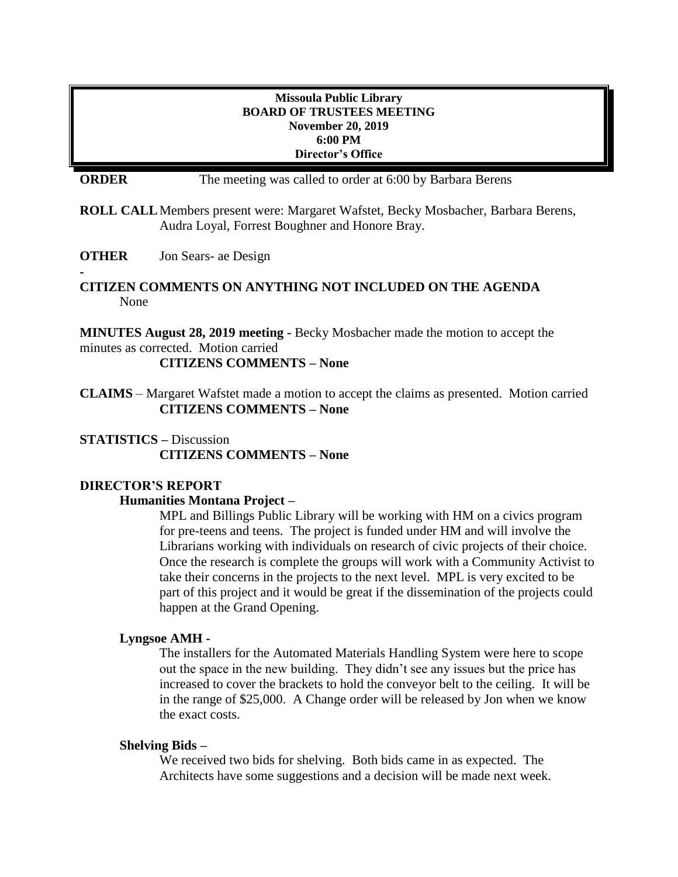### **Missoula Public Library BOARD OF TRUSTEES MEETING November 20, 2019 6:00 PM Director's Office**

**ORDER** The meeting was called to order at 6:00 by Barbara Berens

**ROLL CALL**Members present were: Margaret Wafstet, Becky Mosbacher, Barbara Berens, Audra Loyal, Forrest Boughner and Honore Bray.

**OTHER** Jon Sears- ae Design

**-**

## **CITIZEN COMMENTS ON ANYTHING NOT INCLUDED ON THE AGENDA** None

**MINUTES August 28, 2019 meeting -** Becky Mosbacher made the motion to accept the minutes as corrected. Motion carried

**CITIZENS COMMENTS – None**

**CLAIMS** – Margaret Wafstet made a motion to accept the claims as presented. Motion carried **CITIZENS COMMENTS – None**

## **STATISTICS –** Discussion **CITIZENS COMMENTS – None**

## **DIRECTOR'S REPORT**

## **Humanities Montana Project –**

MPL and Billings Public Library will be working with HM on a civics program for pre-teens and teens. The project is funded under HM and will involve the Librarians working with individuals on research of civic projects of their choice. Once the research is complete the groups will work with a Community Activist to take their concerns in the projects to the next level. MPL is very excited to be part of this project and it would be great if the dissemination of the projects could happen at the Grand Opening.

#### **Lyngsoe AMH -**

The installers for the Automated Materials Handling System were here to scope out the space in the new building. They didn't see any issues but the price has increased to cover the brackets to hold the conveyor belt to the ceiling. It will be in the range of \$25,000. A Change order will be released by Jon when we know the exact costs.

#### **Shelving Bids –**

We received two bids for shelving. Both bids came in as expected. The Architects have some suggestions and a decision will be made next week.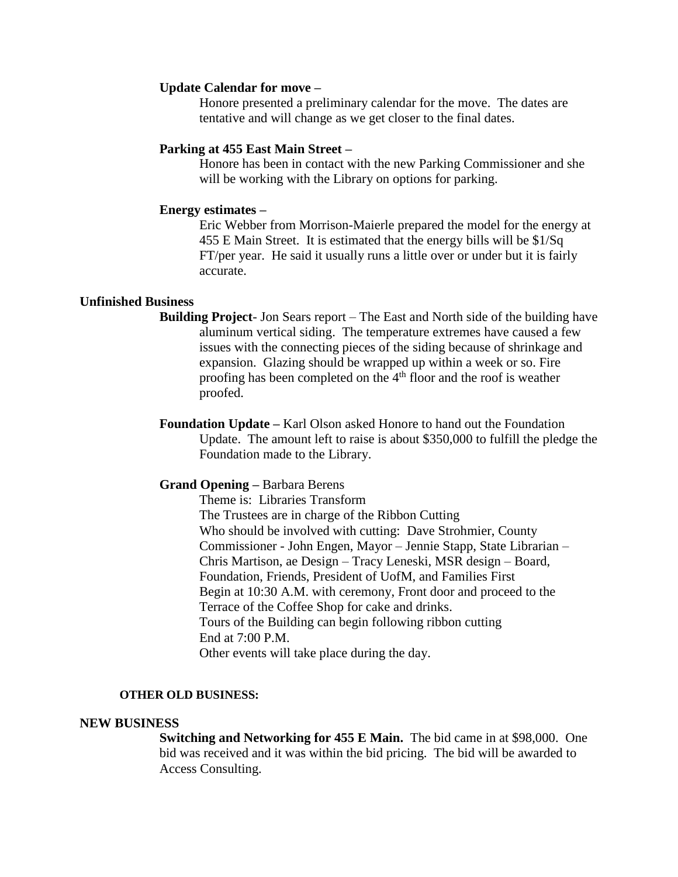#### **Update Calendar for move –**

Honore presented a preliminary calendar for the move. The dates are tentative and will change as we get closer to the final dates.

#### **Parking at 455 East Main Street –**

Honore has been in contact with the new Parking Commissioner and she will be working with the Library on options for parking.

#### **Energy estimates –**

Eric Webber from Morrison-Maierle prepared the model for the energy at 455 E Main Street. It is estimated that the energy bills will be \$1/Sq FT/per year. He said it usually runs a little over or under but it is fairly accurate.

#### **Unfinished Business**

- **Building Project** Jon Sears report The East and North side of the building have aluminum vertical siding. The temperature extremes have caused a few issues with the connecting pieces of the siding because of shrinkage and expansion. Glazing should be wrapped up within a week or so. Fire proofing has been completed on the  $4<sup>th</sup>$  floor and the roof is weather proofed.
- **Foundation Update –** Karl Olson asked Honore to hand out the Foundation Update. The amount left to raise is about \$350,000 to fulfill the pledge the Foundation made to the Library.

#### **Grand Opening –** Barbara Berens

Theme is: Libraries Transform The Trustees are in charge of the Ribbon Cutting Who should be involved with cutting: Dave Strohmier, County Commissioner - John Engen, Mayor – Jennie Stapp, State Librarian – Chris Martison, ae Design – Tracy Leneski, MSR design – Board, Foundation, Friends, President of UofM, and Families First Begin at 10:30 A.M. with ceremony, Front door and proceed to the Terrace of the Coffee Shop for cake and drinks. Tours of the Building can begin following ribbon cutting End at 7:00 P.M. Other events will take place during the day.

#### **OTHER OLD BUSINESS:**

#### **NEW BUSINESS**

**Switching and Networking for 455 E Main.** The bid came in at \$98,000. One bid was received and it was within the bid pricing. The bid will be awarded to Access Consulting.